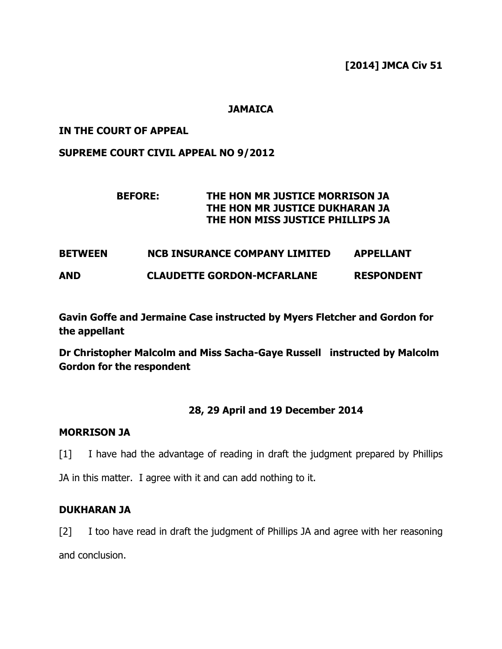### **JAMAICA**

### **IN THE COURT OF APPEAL**

#### **SUPREME COURT CIVIL APPEAL NO 9/2012**

# **BEFORE: THE HON MR JUSTICE MORRISON JA THE HON MR JUSTICE DUKHARAN JA THE HON MISS JUSTICE PHILLIPS JA**

# **BETWEEN NCB INSURANCE COMPANY LIMITED APPELLANT AND CLAUDETTE GORDON-MCFARLANE RESPONDENT**

**Gavin Goffe and Jermaine Case instructed by Myers Fletcher and Gordon for the appellant** 

**Dr Christopher Malcolm and Miss Sacha-Gaye Russell instructed by Malcolm Gordon for the respondent** 

# **28, 29 April and 19 December 2014**

#### **MORRISON JA**

[1] I have had the advantage of reading in draft the judgment prepared by Phillips

JA in this matter. I agree with it and can add nothing to it.

### **DUKHARAN JA**

[2] I too have read in draft the judgment of Phillips JA and agree with her reasoning and conclusion.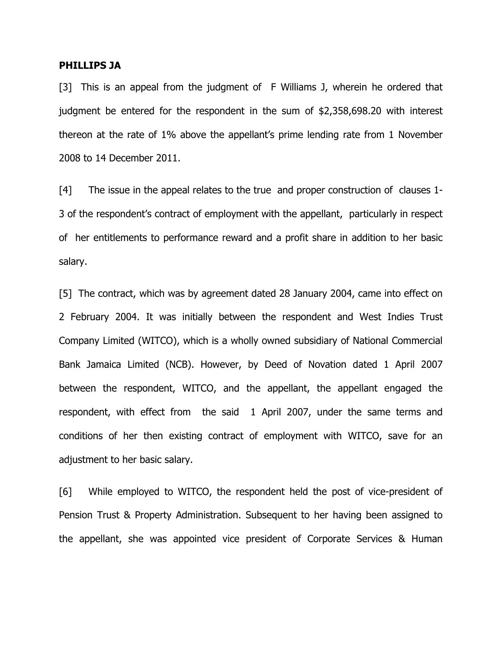#### **PHILLIPS JA**

[3]This is an appeal from the judgment of F Williams J, wherein he ordered that judgment be entered for the respondent in the sum of \$2,358,698.20 with interest thereon at the rate of 1% above the appellant's prime lending rate from 1 November 2008 to 14 December 2011.

[4] The issue in the appeal relates to the true and proper construction of clauses 1- 3 of the respondent's contract of employment with the appellant, particularly in respect of her entitlements to performance reward and a profit share in addition to her basic salary.

[5] The contract, which was by agreement dated 28 January 2004, came into effect on 2 February 2004. It was initially between the respondent and West Indies Trust Company Limited (WITCO), which is a wholly owned subsidiary of National Commercial Bank Jamaica Limited (NCB). However, by Deed of Novation dated 1 April 2007 between the respondent, WITCO, and the appellant, the appellant engaged the respondent, with effect from the said 1 April 2007, under the same terms and conditions of her then existing contract of employment with WITCO, save for an adjustment to her basic salary.

[6] While employed to WITCO, the respondent held the post of vice-president of Pension Trust & Property Administration. Subsequent to her having been assigned to the appellant, she was appointed vice president of Corporate Services & Human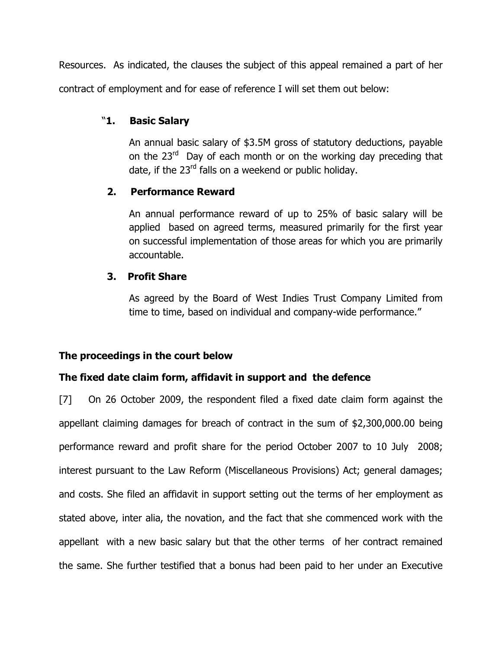Resources. As indicated, the clauses the subject of this appeal remained a part of her contract of employment and for ease of reference I will set them out below:

# "**1. Basic Salary**

 An annual basic salary of \$3.5M gross of statutory deductions, payable on the  $23<sup>rd</sup>$  Day of each month or on the working day preceding that date, if the  $23<sup>rd</sup>$  falls on a weekend or public holiday.

# **2. Performance Reward**

An annual performance reward of up to 25% of basic salary will be applied based on agreed terms, measured primarily for the first year on successful implementation of those areas for which you are primarily accountable.

# **3. Profit Share**

As agreed by the Board of West Indies Trust Company Limited from time to time, based on individual and company-wide performance."

# **The proceedings in the court below**

# **The fixed date claim form, affidavit in support and the defence**

[7] On 26 October 2009, the respondent filed a fixed date claim form against the appellant claiming damages for breach of contract in the sum of \$2,300,000.00 being performance reward and profit share for the period October 2007 to 10 July 2008; interest pursuant to the Law Reform (Miscellaneous Provisions) Act; general damages; and costs. She filed an affidavit in support setting out the terms of her employment as stated above, inter alia, the novation, and the fact that she commenced work with the appellant with a new basic salary but that the other terms of her contract remained the same. She further testified that a bonus had been paid to her under an Executive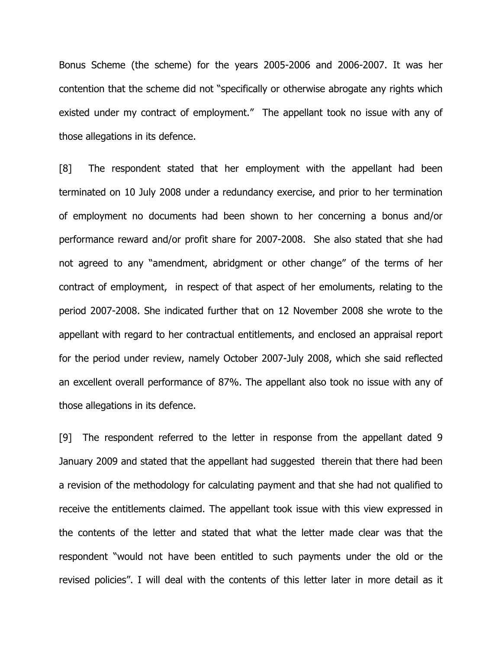Bonus Scheme (the scheme) for the years 2005-2006 and 2006-2007. It was her contention that the scheme did not "specifically or otherwise abrogate any rights which existed under my contract of employment." The appellant took no issue with any of those allegations in its defence.

[8] The respondent stated that her employment with the appellant had been terminated on 10 July 2008 under a redundancy exercise, and prior to her termination of employment no documents had been shown to her concerning a bonus and/or performance reward and/or profit share for 2007-2008. She also stated that she had not agreed to any "amendment, abridgment or other change" of the terms of her contract of employment, in respect of that aspect of her emoluments, relating to the period 2007-2008. She indicated further that on 12 November 2008 she wrote to the appellant with regard to her contractual entitlements, and enclosed an appraisal report for the period under review, namely October 2007-July 2008, which she said reflected an excellent overall performance of 87%. The appellant also took no issue with any of those allegations in its defence.

[9] The respondent referred to the letter in response from the appellant dated 9 January 2009 and stated that the appellant had suggested therein that there had been a revision of the methodology for calculating payment and that she had not qualified to receive the entitlements claimed. The appellant took issue with this view expressed in the contents of the letter and stated that what the letter made clear was that the respondent "would not have been entitled to such payments under the old or the revised policies". I will deal with the contents of this letter later in more detail as it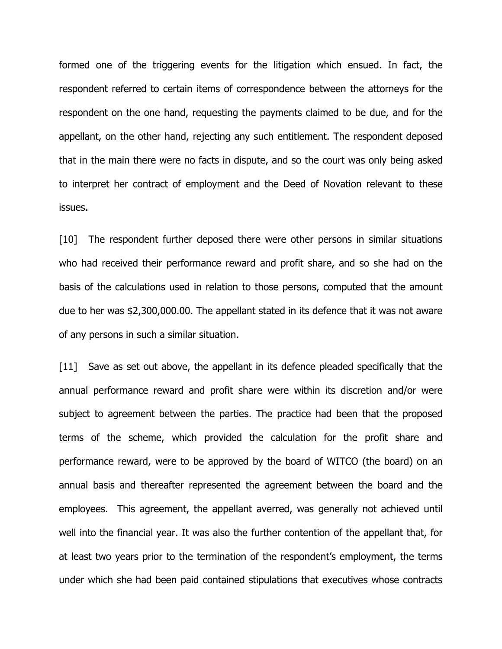formed one of the triggering events for the litigation which ensued. In fact, the respondent referred to certain items of correspondence between the attorneys for the respondent on the one hand, requesting the payments claimed to be due, and for the appellant, on the other hand, rejecting any such entitlement. The respondent deposed that in the main there were no facts in dispute, and so the court was only being asked to interpret her contract of employment and the Deed of Novation relevant to these issues.

[10] The respondent further deposed there were other persons in similar situations who had received their performance reward and profit share, and so she had on the basis of the calculations used in relation to those persons, computed that the amount due to her was \$2,300,000.00. The appellant stated in its defence that it was not aware of any persons in such a similar situation.

[11] Save as set out above, the appellant in its defence pleaded specifically that the annual performance reward and profit share were within its discretion and/or were subject to agreement between the parties. The practice had been that the proposed terms of the scheme, which provided the calculation for the profit share and performance reward, were to be approved by the board of WITCO (the board) on an annual basis and thereafter represented the agreement between the board and the employees. This agreement, the appellant averred, was generally not achieved until well into the financial year. It was also the further contention of the appellant that, for at least two years prior to the termination of the respondent's employment, the terms under which she had been paid contained stipulations that executives whose contracts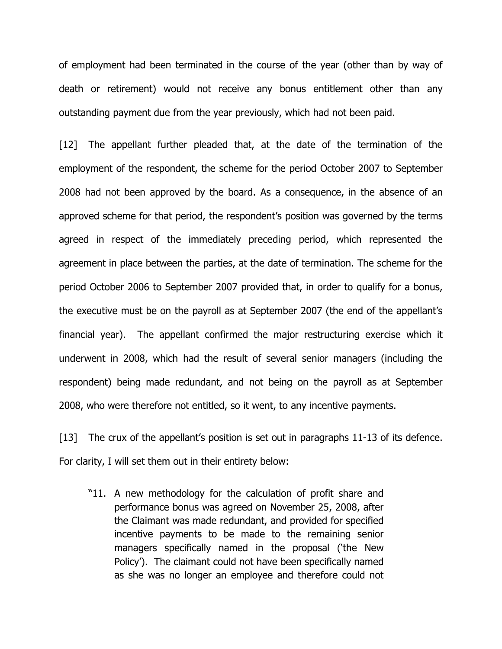of employment had been terminated in the course of the year (other than by way of death or retirement) would not receive any bonus entitlement other than any outstanding payment due from the year previously, which had not been paid.

[12] The appellant further pleaded that, at the date of the termination of the employment of the respondent, the scheme for the period October 2007 to September 2008 had not been approved by the board. As a consequence, in the absence of an approved scheme for that period, the respondent's position was governed by the terms agreed in respect of the immediately preceding period, which represented the agreement in place between the parties, at the date of termination. The scheme for the period October 2006 to September 2007 provided that, in order to qualify for a bonus, the executive must be on the payroll as at September 2007 (the end of the appellant's financial year). The appellant confirmed the major restructuring exercise which it underwent in 2008, which had the result of several senior managers (including the respondent) being made redundant, and not being on the payroll as at September 2008, who were therefore not entitled, so it went, to any incentive payments.

[13] The crux of the appellant's position is set out in paragraphs 11-13 of its defence. For clarity, I will set them out in their entirety below:

"11. A new methodology for the calculation of profit share and performance bonus was agreed on November 25, 2008, after the Claimant was made redundant, and provided for specified incentive payments to be made to the remaining senior managers specifically named in the proposal ('the New Policy'). The claimant could not have been specifically named as she was no longer an employee and therefore could not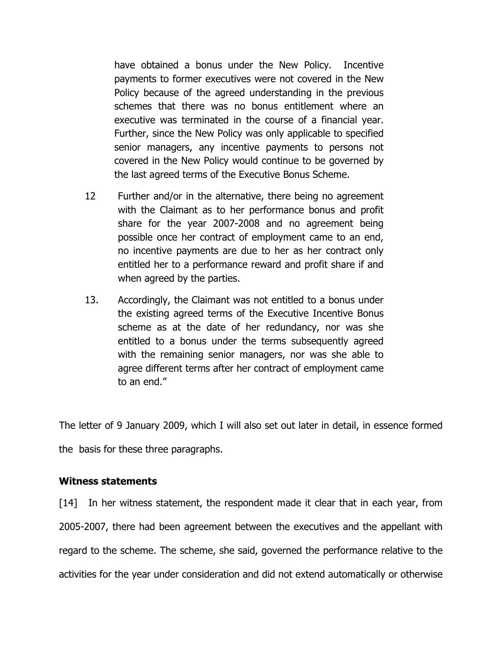have obtained a bonus under the New Policy. Incentive payments to former executives were not covered in the New Policy because of the agreed understanding in the previous schemes that there was no bonus entitlement where an executive was terminated in the course of a financial year. Further, since the New Policy was only applicable to specified senior managers, any incentive payments to persons not covered in the New Policy would continue to be governed by the last agreed terms of the Executive Bonus Scheme.

- 12 Further and/or in the alternative, there being no agreement with the Claimant as to her performance bonus and profit share for the year 2007-2008 and no agreement being possible once her contract of employment came to an end, no incentive payments are due to her as her contract only entitled her to a performance reward and profit share if and when agreed by the parties.
- 13. Accordingly, the Claimant was not entitled to a bonus under the existing agreed terms of the Executive Incentive Bonus scheme as at the date of her redundancy, nor was she entitled to a bonus under the terms subsequently agreed with the remaining senior managers, nor was she able to agree different terms after her contract of employment came to an end."

The letter of 9 January 2009, which I will also set out later in detail, in essence formed the basis for these three paragraphs.

### **Witness statements**

[14] In her witness statement, the respondent made it clear that in each year, from 2005-2007, there had been agreement between the executives and the appellant with regard to the scheme. The scheme, she said, governed the performance relative to the activities for the year under consideration and did not extend automatically or otherwise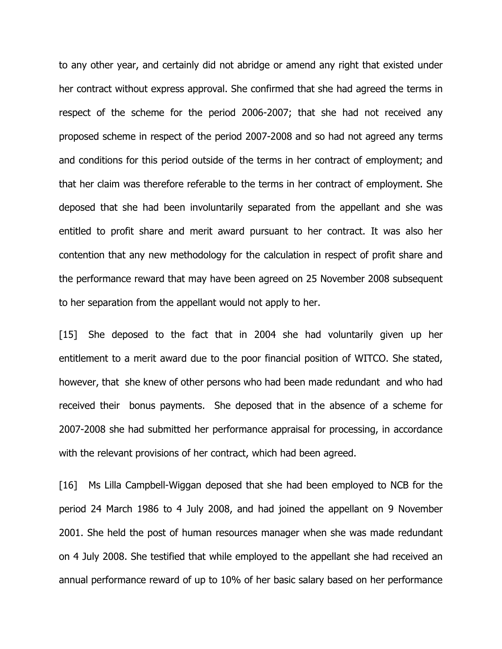to any other year, and certainly did not abridge or amend any right that existed under her contract without express approval. She confirmed that she had agreed the terms in respect of the scheme for the period 2006-2007; that she had not received any proposed scheme in respect of the period 2007-2008 and so had not agreed any terms and conditions for this period outside of the terms in her contract of employment; and that her claim was therefore referable to the terms in her contract of employment. She deposed that she had been involuntarily separated from the appellant and she was entitled to profit share and merit award pursuant to her contract. It was also her contention that any new methodology for the calculation in respect of profit share and the performance reward that may have been agreed on 25 November 2008 subsequent to her separation from the appellant would not apply to her.

[15] She deposed to the fact that in 2004 she had voluntarily given up her entitlement to a merit award due to the poor financial position of WITCO. She stated, however, that she knew of other persons who had been made redundant and who had received their bonus payments. She deposed that in the absence of a scheme for 2007-2008 she had submitted her performance appraisal for processing, in accordance with the relevant provisions of her contract, which had been agreed.

[16] Ms Lilla Campbell-Wiggan deposed that she had been employed to NCB for the period 24 March 1986 to 4 July 2008, and had joined the appellant on 9 November 2001. She held the post of human resources manager when she was made redundant on 4 July 2008. She testified that while employed to the appellant she had received an annual performance reward of up to 10% of her basic salary based on her performance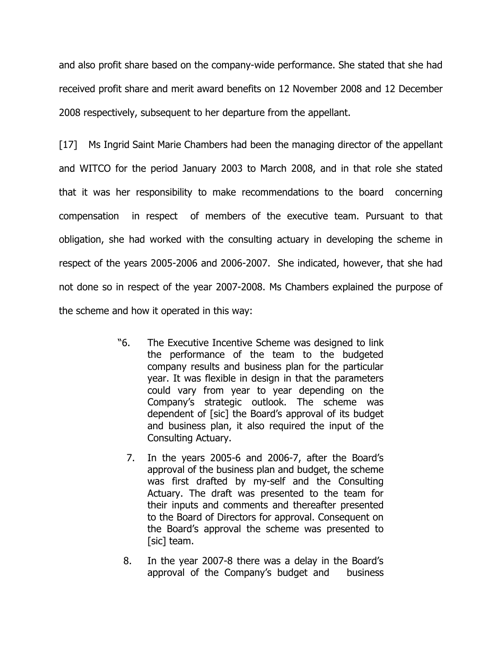and also profit share based on the company-wide performance. She stated that she had received profit share and merit award benefits on 12 November 2008 and 12 December 2008 respectively, subsequent to her departure from the appellant.

[17] Ms Ingrid Saint Marie Chambers had been the managing director of the appellant and WITCO for the period January 2003 to March 2008, and in that role she stated that it was her responsibility to make recommendations to the board concerning compensation in respect of members of the executive team. Pursuant to that obligation, she had worked with the consulting actuary in developing the scheme in respect of the years 2005-2006 and 2006-2007. She indicated, however, that she had not done so in respect of the year 2007-2008. Ms Chambers explained the purpose of the scheme and how it operated in this way:

- "6.The Executive Incentive Scheme was designed to link the performance of the team to the budgeted company results and business plan for the particular year. It was flexible in design in that the parameters could vary from year to year depending on the Company's strategic outlook. The scheme was dependent of [sic] the Board's approval of its budget and business plan, it also required the input of the Consulting Actuary.
	- 7. In the years 2005-6 and 2006-7, after the Board's approval of the business plan and budget, the scheme was first drafted by my-self and the Consulting Actuary. The draft was presented to the team for their inputs and comments and thereafter presented to the Board of Directors for approval. Consequent on the Board's approval the scheme was presented to [sic] team.
	- 8. In the year 2007-8 there was a delay in the Board's approval of the Company's budget and business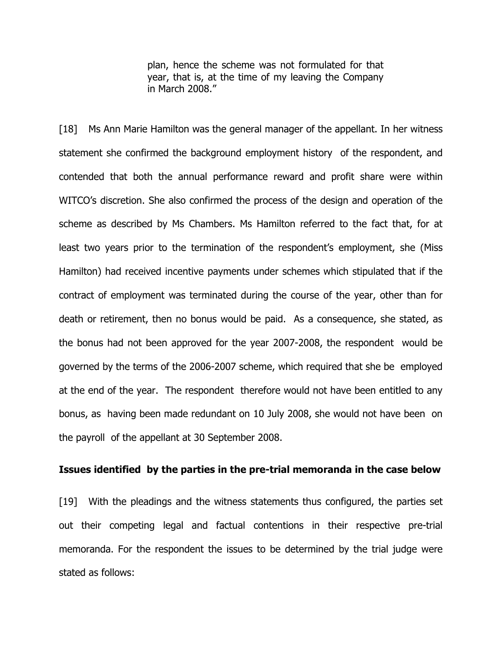plan, hence the scheme was not formulated for that year, that is, at the time of my leaving the Company in March 2008."

[18] Ms Ann Marie Hamilton was the general manager of the appellant. In her witness statement she confirmed the background employment history of the respondent, and contended that both the annual performance reward and profit share were within WITCO's discretion. She also confirmed the process of the design and operation of the scheme as described by Ms Chambers. Ms Hamilton referred to the fact that, for at least two years prior to the termination of the respondent's employment, she (Miss Hamilton) had received incentive payments under schemes which stipulated that if the contract of employment was terminated during the course of the year, other than for death or retirement, then no bonus would be paid. As a consequence, she stated, as the bonus had not been approved for the year 2007-2008, the respondent would be governed by the terms of the 2006-2007 scheme, which required that she be employed at the end of the year. The respondent therefore would not have been entitled to any bonus, as having been made redundant on 10 July 2008, she would not have been on the payroll of the appellant at 30 September 2008.

#### **Issues identified by the parties in the pre-trial memoranda in the case below**

[19] With the pleadings and the witness statements thus configured, the parties set out their competing legal and factual contentions in their respective pre-trial memoranda. For the respondent the issues to be determined by the trial judge were stated as follows: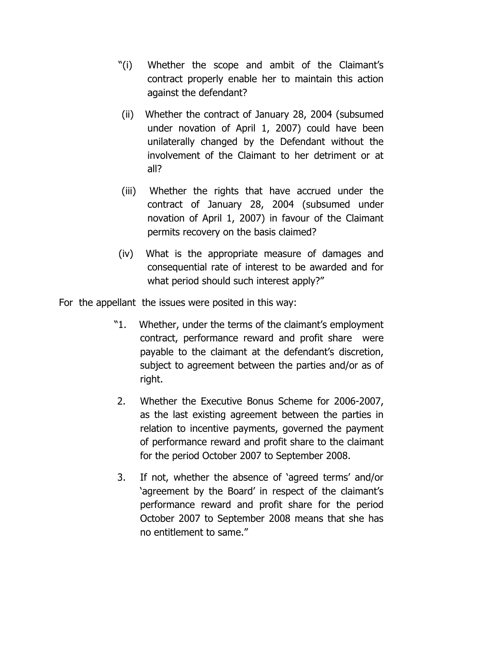- "(i) Whether the scope and ambit of the Claimant's contract properly enable her to maintain this action against the defendant?
- (ii) Whether the contract of January 28, 2004 (subsumed under novation of April 1, 2007) could have been unilaterally changed by the Defendant without the involvement of the Claimant to her detriment or at all?
- (iii) Whether the rights that have accrued under the contract of January 28, 2004 (subsumed under novation of April 1, 2007) in favour of the Claimant permits recovery on the basis claimed?
- (iv) What is the appropriate measure of damages and consequential rate of interest to be awarded and for what period should such interest apply?"

For the appellant the issues were posited in this way:

- "1. Whether, under the terms of the claimant's employment contract, performance reward and profit share were payable to the claimant at the defendant's discretion, subject to agreement between the parties and/or as of right.
- 2. Whether the Executive Bonus Scheme for 2006-2007, as the last existing agreement between the parties in relation to incentive payments, governed the payment of performance reward and profit share to the claimant for the period October 2007 to September 2008.
- 3. If not, whether the absence of 'agreed terms' and/or 'agreement by the Board' in respect of the claimant's performance reward and profit share for the period October 2007 to September 2008 means that she has no entitlement to same."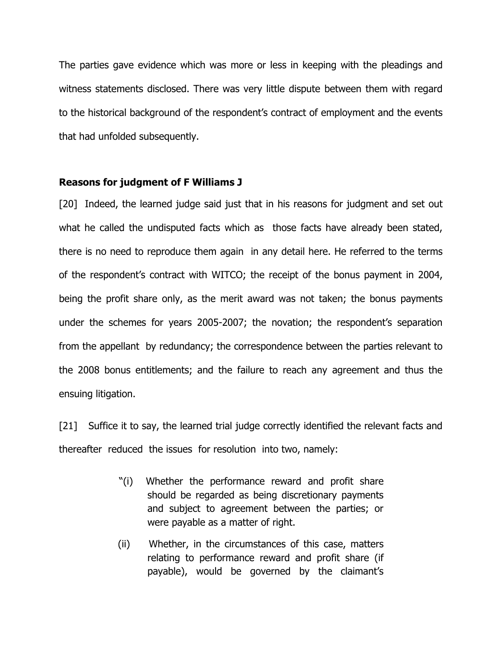The parties gave evidence which was more or less in keeping with the pleadings and witness statements disclosed. There was very little dispute between them with regard to the historical background of the respondent's contract of employment and the events that had unfolded subsequently.

#### **Reasons for judgment of F Williams J**

[20] Indeed, the learned judge said just that in his reasons for judgment and set out what he called the undisputed facts which as those facts have already been stated, there is no need to reproduce them again in any detail here. He referred to the terms of the respondent's contract with WITCO; the receipt of the bonus payment in 2004, being the profit share only, as the merit award was not taken; the bonus payments under the schemes for years 2005-2007; the novation; the respondent's separation from the appellant by redundancy; the correspondence between the parties relevant to the 2008 bonus entitlements; and the failure to reach any agreement and thus the ensuing litigation.

[21] Suffice it to say, the learned trial judge correctly identified the relevant facts and thereafter reduced the issues for resolution into two, namely:

- "(i) Whether the performance reward and profit share should be regarded as being discretionary payments and subject to agreement between the parties; or were payable as a matter of right.
- (ii) Whether, in the circumstances of this case, matters relating to performance reward and profit share (if payable), would be governed by the claimant's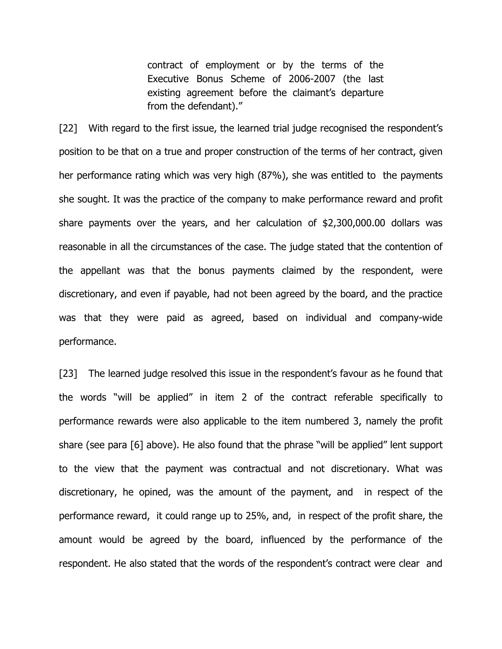contract of employment or by the terms of the Executive Bonus Scheme of 2006-2007 (the last existing agreement before the claimant's departure from the defendant)."

[22] With regard to the first issue, the learned trial judge recognised the respondent's position to be that on a true and proper construction of the terms of her contract, given her performance rating which was very high (87%), she was entitled to the payments she sought. It was the practice of the company to make performance reward and profit share payments over the years, and her calculation of \$2,300,000.00 dollars was reasonable in all the circumstances of the case. The judge stated that the contention of the appellant was that the bonus payments claimed by the respondent, were discretionary, and even if payable, had not been agreed by the board, and the practice was that they were paid as agreed, based on individual and company-wide performance.

[23] The learned judge resolved this issue in the respondent's favour as he found that the words "will be applied" in item 2 of the contract referable specifically to performance rewards were also applicable to the item numbered 3, namely the profit share (see para [6] above). He also found that the phrase "will be applied" lent support to the view that the payment was contractual and not discretionary. What was discretionary, he opined, was the amount of the payment, and in respect of the performance reward, it could range up to 25%, and, in respect of the profit share, the amount would be agreed by the board, influenced by the performance of the respondent. He also stated that the words of the respondent's contract were clear and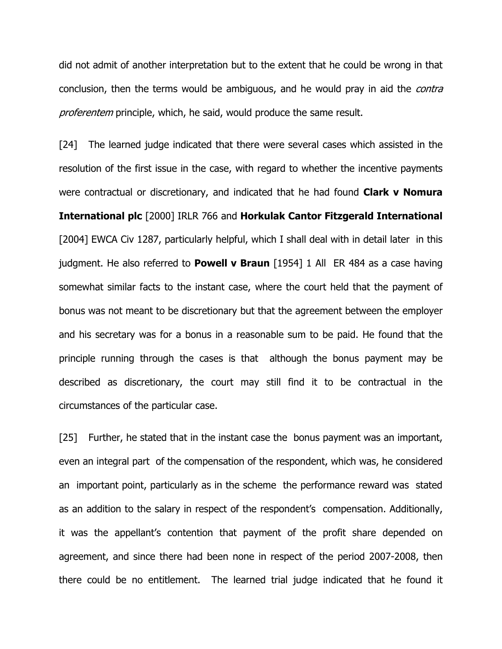did not admit of another interpretation but to the extent that he could be wrong in that conclusion, then the terms would be ambiguous, and he would pray in aid the *contra* proferentem principle, which, he said, would produce the same result.

[24] The learned judge indicated that there were several cases which assisted in the resolution of the first issue in the case, with regard to whether the incentive payments were contractual or discretionary, and indicated that he had found **Clark v Nomura International plc** [2000] IRLR 766 and **Horkulak Cantor Fitzgerald International**  [2004] EWCA Civ 1287, particularly helpful, which I shall deal with in detail later in this judgment. He also referred to **Powell v Braun** [1954] 1 All ER 484 as a case having somewhat similar facts to the instant case, where the court held that the payment of bonus was not meant to be discretionary but that the agreement between the employer and his secretary was for a bonus in a reasonable sum to be paid. He found that the principle running through the cases is that although the bonus payment may be described as discretionary, the court may still find it to be contractual in the circumstances of the particular case.

[25] Further, he stated that in the instant case the bonus payment was an important, even an integral part of the compensation of the respondent, which was, he considered an important point, particularly as in the scheme the performance reward was stated as an addition to the salary in respect of the respondent's compensation. Additionally, it was the appellant's contention that payment of the profit share depended on agreement, and since there had been none in respect of the period 2007-2008, then there could be no entitlement. The learned trial judge indicated that he found it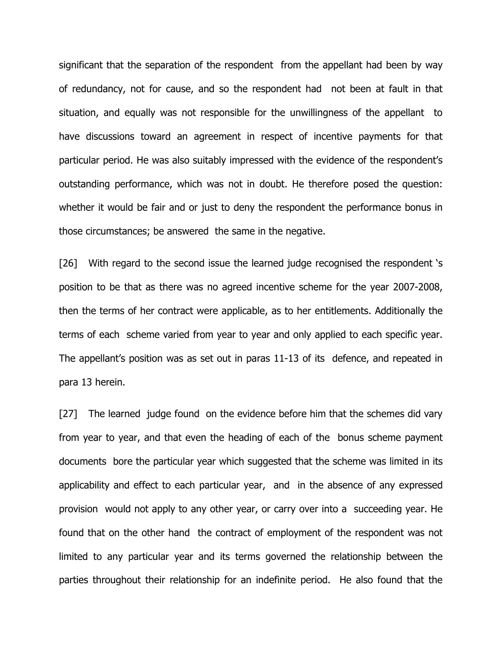significant that the separation of the respondent from the appellant had been by way of redundancy, not for cause, and so the respondent had not been at fault in that situation, and equally was not responsible for the unwillingness of the appellant to have discussions toward an agreement in respect of incentive payments for that particular period. He was also suitably impressed with the evidence of the respondent's outstanding performance, which was not in doubt. He therefore posed the question: whether it would be fair and or just to deny the respondent the performance bonus in those circumstances; be answered the same in the negative.

[26] With regard to the second issue the learned judge recognised the respondent 's position to be that as there was no agreed incentive scheme for the year 2007-2008, then the terms of her contract were applicable, as to her entitlements. Additionally the terms of each scheme varied from year to year and only applied to each specific year. The appellant's position was as set out in paras 11-13 of its defence, and repeated in para 13 herein.

[27] The learned judge found on the evidence before him that the schemes did vary from year to year, and that even the heading of each of the bonus scheme payment documents bore the particular year which suggested that the scheme was limited in its applicability and effect to each particular year, and in the absence of any expressed provision would not apply to any other year, or carry over into a succeeding year. He found that on the other hand the contract of employment of the respondent was not limited to any particular year and its terms governed the relationship between the parties throughout their relationship for an indefinite period. He also found that the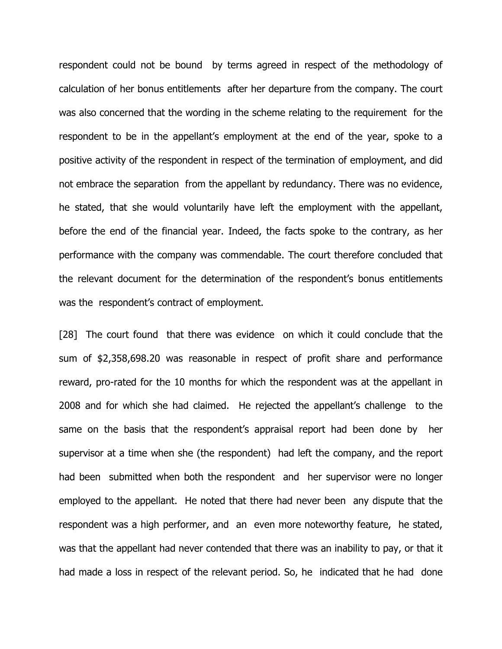respondent could not be bound by terms agreed in respect of the methodology of calculation of her bonus entitlements after her departure from the company. The court was also concerned that the wording in the scheme relating to the requirement for the respondent to be in the appellant's employment at the end of the year, spoke to a positive activity of the respondent in respect of the termination of employment, and did not embrace the separation from the appellant by redundancy. There was no evidence, he stated, that she would voluntarily have left the employment with the appellant, before the end of the financial year. Indeed, the facts spoke to the contrary, as her performance with the company was commendable. The court therefore concluded that the relevant document for the determination of the respondent's bonus entitlements was the respondent's contract of employment.

[28] The court found that there was evidence on which it could conclude that the sum of \$2,358,698.20 was reasonable in respect of profit share and performance reward, pro-rated for the 10 months for which the respondent was at the appellant in 2008 and for which she had claimed. He rejected the appellant's challenge to the same on the basis that the respondent's appraisal report had been done by her supervisor at a time when she (the respondent) had left the company, and the report had been submitted when both the respondent and her supervisor were no longer employed to the appellant. He noted that there had never been any dispute that the respondent was a high performer, and an even more noteworthy feature, he stated, was that the appellant had never contended that there was an inability to pay, or that it had made a loss in respect of the relevant period. So, he indicated that he had done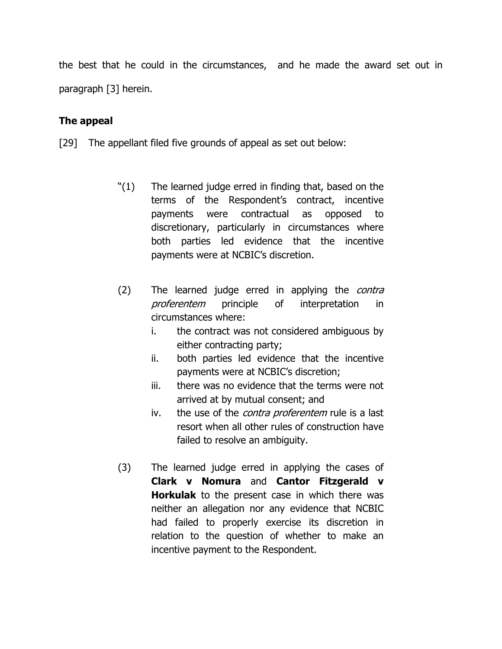the best that he could in the circumstances, and he made the award set out in paragraph [3] herein.

# **The appeal**

[29] The appellant filed five grounds of appeal as set out below:

- "(1) The learned judge erred in finding that, based on the terms of the Respondent's contract, incentive payments were contractual as opposed to discretionary, particularly in circumstances where both parties led evidence that the incentive payments were at NCBIC's discretion.
- (2) The learned judge erred in applying the *contra* proferentem principle of interpretation in circumstances where:
	- i. the contract was not considered ambiguous by either contracting party;
	- ii. both parties led evidence that the incentive payments were at NCBIC's discretion;
	- iii. there was no evidence that the terms were not arrived at by mutual consent; and
	- iv. the use of the *contra proferentem* rule is a last resort when all other rules of construction have failed to resolve an ambiguity.
- (3) The learned judge erred in applying the cases of **Clark v Nomura** and **Cantor Fitzgerald v Horkulak** to the present case in which there was neither an allegation nor any evidence that NCBIC had failed to properly exercise its discretion in relation to the question of whether to make an incentive payment to the Respondent.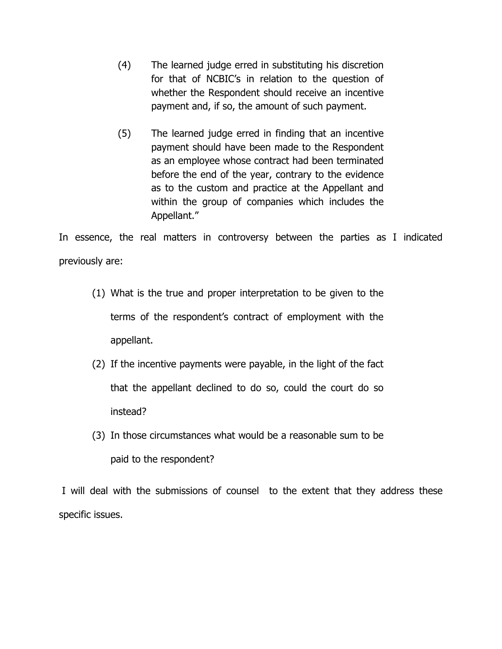- (4) The learned judge erred in substituting his discretion for that of NCBIC's in relation to the question of whether the Respondent should receive an incentive payment and, if so, the amount of such payment.
- (5) The learned judge erred in finding that an incentive payment should have been made to the Respondent as an employee whose contract had been terminated before the end of the year, contrary to the evidence as to the custom and practice at the Appellant and within the group of companies which includes the Appellant."

In essence, the real matters in controversy between the parties as I indicated previously are:

- (1) What is the true and proper interpretation to be given to the terms of the respondent's contract of employment with the appellant.
- (2) If the incentive payments were payable, in the light of the fact that the appellant declined to do so, could the court do so instead?
- (3) In those circumstances what would be a reasonable sum to be paid to the respondent?

 I will deal with the submissions of counsel to the extent that they address these specific issues.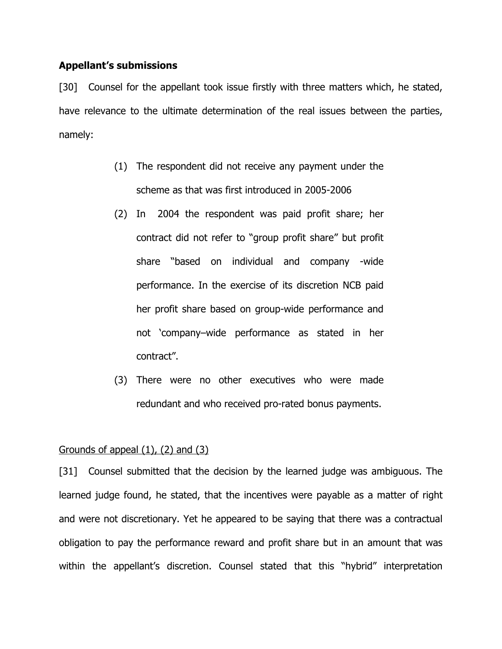#### **Appellant's submissions**

[30] Counsel for the appellant took issue firstly with three matters which, he stated, have relevance to the ultimate determination of the real issues between the parties, namely:

- (1) The respondent did not receive any payment under the scheme as that was first introduced in 2005-2006
- (2) In 2004 the respondent was paid profit share; her contract did not refer to "group profit share" but profit share "based on individual and company -wide performance. In the exercise of its discretion NCB paid her profit share based on group-wide performance and not 'company–wide performance as stated in her contract".
- (3) There were no other executives who were made redundant and who received pro-rated bonus payments.

## Grounds of appeal  $(1)$ ,  $(2)$  and  $(3)$

[31] Counsel submitted that the decision by the learned judge was ambiguous. The learned judge found, he stated, that the incentives were payable as a matter of right and were not discretionary. Yet he appeared to be saying that there was a contractual obligation to pay the performance reward and profit share but in an amount that was within the appellant's discretion. Counsel stated that this "hybrid" interpretation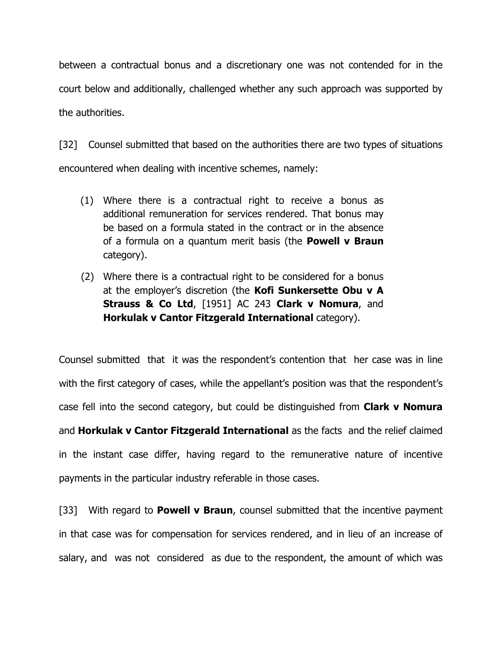between a contractual bonus and a discretionary one was not contended for in the court below and additionally, challenged whether any such approach was supported by the authorities.

[32] Counsel submitted that based on the authorities there are two types of situations encountered when dealing with incentive schemes, namely:

- (1) Where there is a contractual right to receive a bonus as additional remuneration for services rendered. That bonus may be based on a formula stated in the contract or in the absence of a formula on a quantum merit basis (the **Powell v Braun** category).
- (2) Where there is a contractual right to be considered for a bonus at the employer's discretion (the **Kofi Sunkersette Obu v A Strauss & Co Ltd**, [1951] AC 243 **Clark v Nomura**, and **Horkulak v Cantor Fitzgerald International** category).

Counsel submitted that it was the respondent's contention that her case was in line with the first category of cases, while the appellant's position was that the respondent's case fell into the second category, but could be distinguished from **Clark v Nomura**  and **Horkulak v Cantor Fitzgerald International** as the facts and the relief claimed in the instant case differ, having regard to the remunerative nature of incentive payments in the particular industry referable in those cases.

[33] With regard to **Powell v Braun**, counsel submitted that the incentive payment in that case was for compensation for services rendered, and in lieu of an increase of salary, and was not considered as due to the respondent, the amount of which was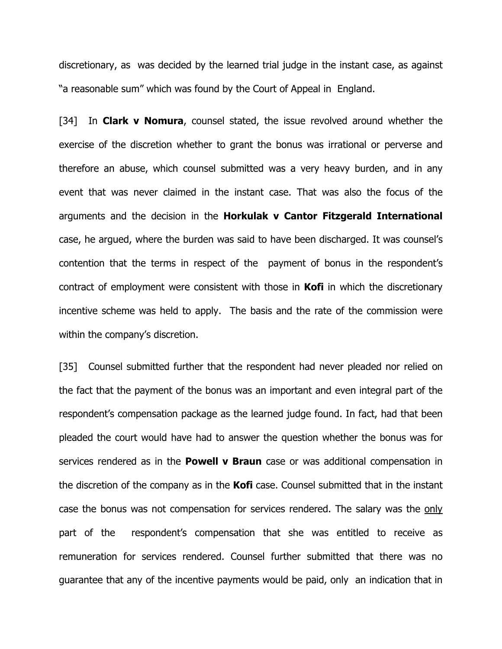discretionary, as was decided by the learned trial judge in the instant case, as against "a reasonable sum" which was found by the Court of Appeal in England.

[34] In **Clark v Nomura**, counsel stated, the issue revolved around whether the exercise of the discretion whether to grant the bonus was irrational or perverse and therefore an abuse, which counsel submitted was a very heavy burden, and in any event that was never claimed in the instant case. That was also the focus of the arguments and the decision in the **Horkulak v Cantor Fitzgerald International** case, he argued, where the burden was said to have been discharged. It was counsel's contention that the terms in respect of the payment of bonus in the respondent's contract of employment were consistent with those in **Kofi** in which the discretionary incentive scheme was held to apply. The basis and the rate of the commission were within the company's discretion.

[35] Counsel submitted further that the respondent had never pleaded nor relied on the fact that the payment of the bonus was an important and even integral part of the respondent's compensation package as the learned judge found. In fact, had that been pleaded the court would have had to answer the question whether the bonus was for services rendered as in the **Powell v Braun** case or was additional compensation in the discretion of the company as in the **Kofi** case. Counsel submitted that in the instant case the bonus was not compensation for services rendered. The salary was the only part of the respondent's compensation that she was entitled to receive as remuneration for services rendered. Counsel further submitted that there was no guarantee that any of the incentive payments would be paid, only an indication that in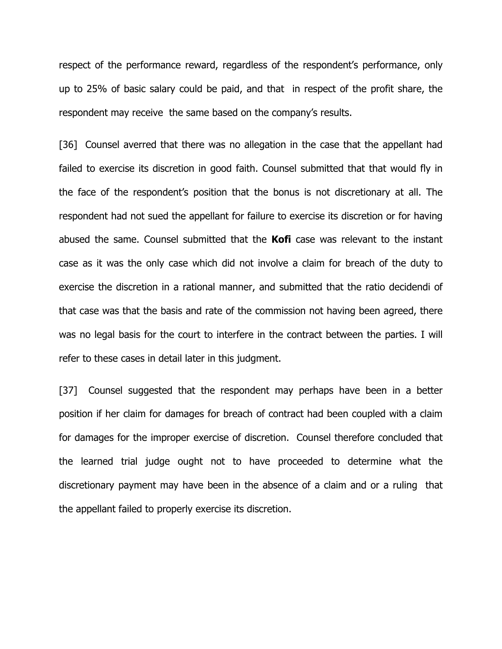respect of the performance reward, regardless of the respondent's performance, only up to 25% of basic salary could be paid, and that in respect of the profit share, the respondent may receive the same based on the company's results.

[36] Counsel averred that there was no allegation in the case that the appellant had failed to exercise its discretion in good faith. Counsel submitted that that would fly in the face of the respondent's position that the bonus is not discretionary at all. The respondent had not sued the appellant for failure to exercise its discretion or for having abused the same. Counsel submitted that the **Kofi** case was relevant to the instant case as it was the only case which did not involve a claim for breach of the duty to exercise the discretion in a rational manner, and submitted that the ratio decidendi of that case was that the basis and rate of the commission not having been agreed, there was no legal basis for the court to interfere in the contract between the parties. I will refer to these cases in detail later in this judgment.

[37] Counsel suggested that the respondent may perhaps have been in a better position if her claim for damages for breach of contract had been coupled with a claim for damages for the improper exercise of discretion. Counsel therefore concluded that the learned trial judge ought not to have proceeded to determine what the discretionary payment may have been in the absence of a claim and or a ruling that the appellant failed to properly exercise its discretion.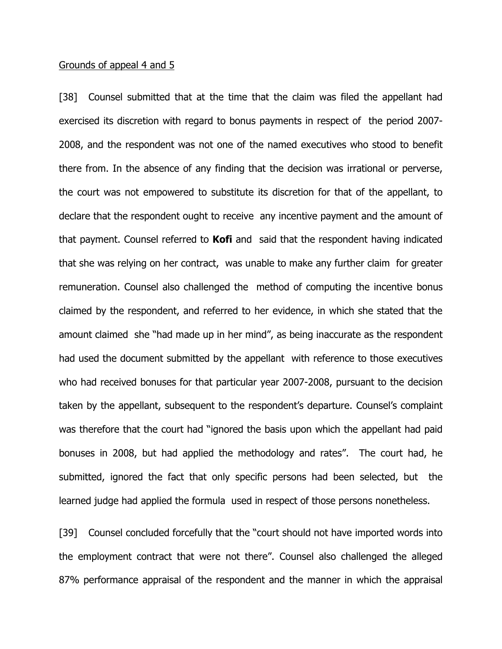#### Grounds of appeal 4 and 5

[38] Counsel submitted that at the time that the claim was filed the appellant had exercised its discretion with regard to bonus payments in respect of the period 2007- 2008, and the respondent was not one of the named executives who stood to benefit there from. In the absence of any finding that the decision was irrational or perverse, the court was not empowered to substitute its discretion for that of the appellant, to declare that the respondent ought to receive any incentive payment and the amount of that payment. Counsel referred to **Kofi** and said that the respondent having indicated that she was relying on her contract, was unable to make any further claim for greater remuneration. Counsel also challenged the method of computing the incentive bonus claimed by the respondent, and referred to her evidence, in which she stated that the amount claimed she "had made up in her mind", as being inaccurate as the respondent had used the document submitted by the appellant with reference to those executives who had received bonuses for that particular year 2007-2008, pursuant to the decision taken by the appellant, subsequent to the respondent's departure. Counsel's complaint was therefore that the court had "ignored the basis upon which the appellant had paid bonuses in 2008, but had applied the methodology and rates". The court had, he submitted, ignored the fact that only specific persons had been selected, but the learned judge had applied the formula used in respect of those persons nonetheless.

[39] Counsel concluded forcefully that the "court should not have imported words into the employment contract that were not there". Counsel also challenged the alleged 87% performance appraisal of the respondent and the manner in which the appraisal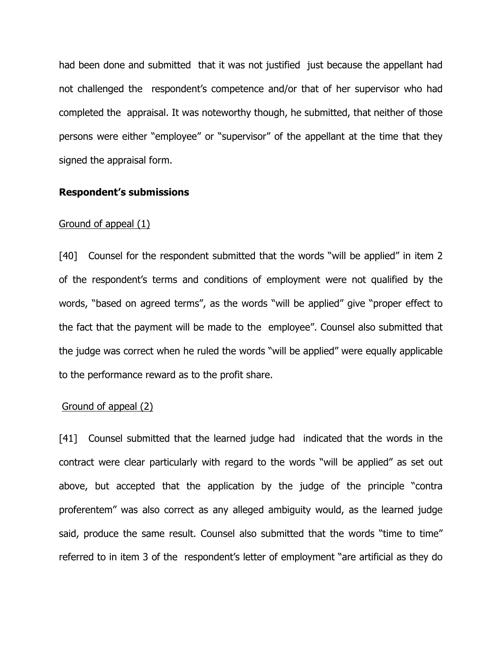had been done and submitted that it was not justified just because the appellant had not challenged the respondent's competence and/or that of her supervisor who had completed the appraisal. It was noteworthy though, he submitted, that neither of those persons were either "employee" or "supervisor" of the appellant at the time that they signed the appraisal form.

#### **Respondent's submissions**

#### Ground of appeal (1)

[40] Counsel for the respondent submitted that the words "will be applied" in item 2 of the respondent's terms and conditions of employment were not qualified by the words, "based on agreed terms", as the words "will be applied" give "proper effect to the fact that the payment will be made to the employee". Counsel also submitted that the judge was correct when he ruled the words "will be applied" were equally applicable to the performance reward as to the profit share.

#### Ground of appeal (2)

[41] Counsel submitted that the learned judge had indicated that the words in the contract were clear particularly with regard to the words "will be applied" as set out above, but accepted that the application by the judge of the principle "contra proferentem" was also correct as any alleged ambiguity would, as the learned judge said, produce the same result. Counsel also submitted that the words "time to time" referred to in item 3 of the respondent's letter of employment "are artificial as they do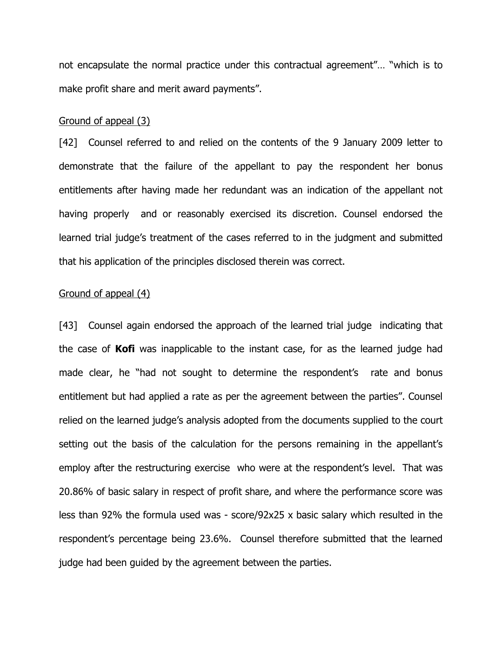not encapsulate the normal practice under this contractual agreement"… "which is to make profit share and merit award payments".

#### Ground of appeal (3)

[42] Counsel referred to and relied on the contents of the 9 January 2009 letter to demonstrate that the failure of the appellant to pay the respondent her bonus entitlements after having made her redundant was an indication of the appellant not having properly and or reasonably exercised its discretion. Counsel endorsed the learned trial judge's treatment of the cases referred to in the judgment and submitted that his application of the principles disclosed therein was correct.

#### Ground of appeal (4)

[43] Counsel again endorsed the approach of the learned trial judge indicating that the case of **Kofi** was inapplicable to the instant case, for as the learned judge had made clear, he "had not sought to determine the respondent's rate and bonus entitlement but had applied a rate as per the agreement between the parties". Counsel relied on the learned judge's analysis adopted from the documents supplied to the court setting out the basis of the calculation for the persons remaining in the appellant's employ after the restructuring exercise who were at the respondent's level. That was 20.86% of basic salary in respect of profit share, and where the performance score was less than 92% the formula used was - score/92x25 x basic salary which resulted in the respondent's percentage being 23.6%. Counsel therefore submitted that the learned judge had been guided by the agreement between the parties.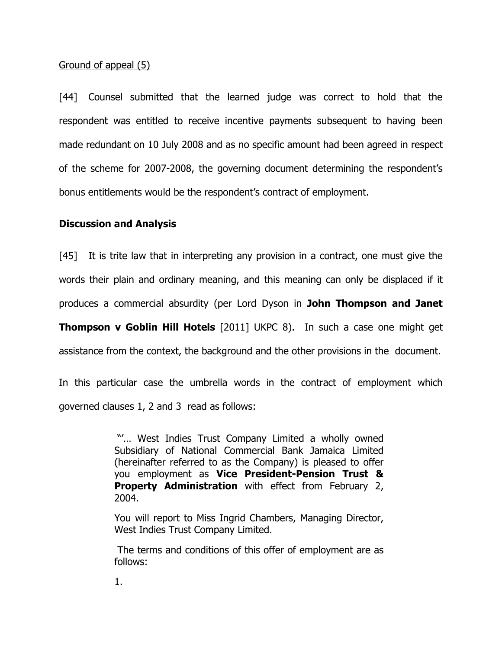#### Ground of appeal (5)

[44] Counsel submitted that the learned judge was correct to hold that the respondent was entitled to receive incentive payments subsequent to having been made redundant on 10 July 2008 and as no specific amount had been agreed in respect of the scheme for 2007-2008, the governing document determining the respondent's bonus entitlements would be the respondent's contract of employment.

#### **Discussion and Analysis**

[45] It is trite law that in interpreting any provision in a contract, one must give the words their plain and ordinary meaning, and this meaning can only be displaced if it produces a commercial absurdity (per Lord Dyson in **John Thompson and Janet Thompson v Goblin Hill Hotels** [2011] UKPC 8). In such a case one might get assistance from the context, the background and the other provisions in the document.

In this particular case the umbrella words in the contract of employment which

governed clauses 1, 2 and 3 read as follows:

 "'… West Indies Trust Company Limited a wholly owned Subsidiary of National Commercial Bank Jamaica Limited (hereinafter referred to as the Company) is pleased to offer you employment as **Vice President-Pension Trust & Property Administration** with effect from February 2, 2004.

You will report to Miss Ingrid Chambers, Managing Director, West Indies Trust Company Limited.

 The terms and conditions of this offer of employment are as follows:

1.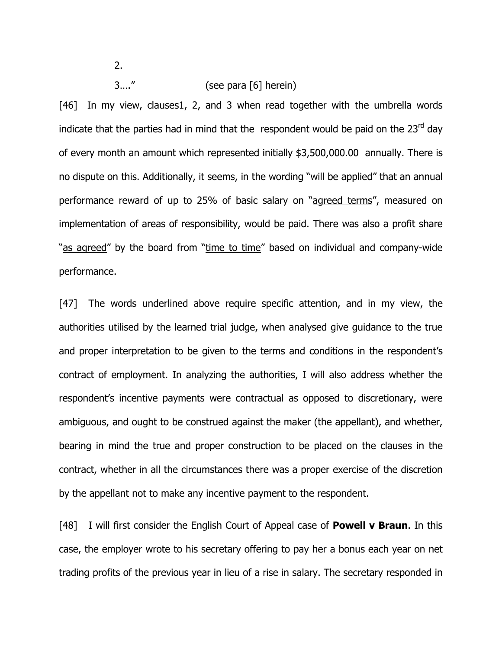2.

# 3…." (see para [6] herein)

[46] In my view, clauses1, 2, and 3 when read together with the umbrella words indicate that the parties had in mind that the respondent would be paid on the  $23<sup>rd</sup>$  day of every month an amount which represented initially \$3,500,000.00 annually. There is no dispute on this. Additionally, it seems, in the wording "will be applied" that an annual performance reward of up to 25% of basic salary on "agreed terms", measured on implementation of areas of responsibility, would be paid. There was also a profit share "as agreed" by the board from "time to time" based on individual and company-wide performance.

[47] The words underlined above require specific attention, and in my view, the authorities utilised by the learned trial judge, when analysed give guidance to the true and proper interpretation to be given to the terms and conditions in the respondent's contract of employment. In analyzing the authorities, I will also address whether the respondent's incentive payments were contractual as opposed to discretionary, were ambiguous, and ought to be construed against the maker (the appellant), and whether, bearing in mind the true and proper construction to be placed on the clauses in the contract, whether in all the circumstances there was a proper exercise of the discretion by the appellant not to make any incentive payment to the respondent.

[48] I will first consider the English Court of Appeal case of **Powell v Braun**. In this case, the employer wrote to his secretary offering to pay her a bonus each year on net trading profits of the previous year in lieu of a rise in salary. The secretary responded in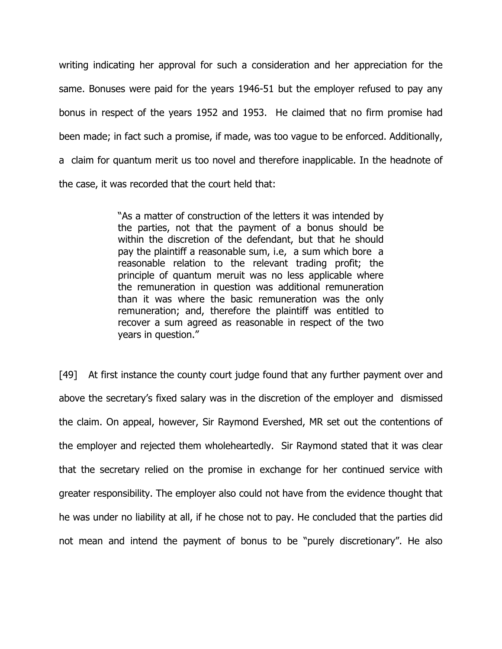writing indicating her approval for such a consideration and her appreciation for the same. Bonuses were paid for the years 1946-51 but the employer refused to pay any bonus in respect of the years 1952 and 1953. He claimed that no firm promise had been made; in fact such a promise, if made, was too vague to be enforced. Additionally, a claim for quantum merit us too novel and therefore inapplicable. In the headnote of the case, it was recorded that the court held that:

> "As a matter of construction of the letters it was intended by the parties, not that the payment of a bonus should be within the discretion of the defendant, but that he should pay the plaintiff a reasonable sum, i.e, a sum which bore a reasonable relation to the relevant trading profit; the principle of quantum meruit was no less applicable where the remuneration in question was additional remuneration than it was where the basic remuneration was the only remuneration; and, therefore the plaintiff was entitled to recover a sum agreed as reasonable in respect of the two years in question."

[49] At first instance the county court judge found that any further payment over and above the secretary's fixed salary was in the discretion of the employer and dismissed the claim. On appeal, however, Sir Raymond Evershed, MR set out the contentions of the employer and rejected them wholeheartedly. Sir Raymond stated that it was clear that the secretary relied on the promise in exchange for her continued service with greater responsibility. The employer also could not have from the evidence thought that he was under no liability at all, if he chose not to pay. He concluded that the parties did not mean and intend the payment of bonus to be "purely discretionary". He also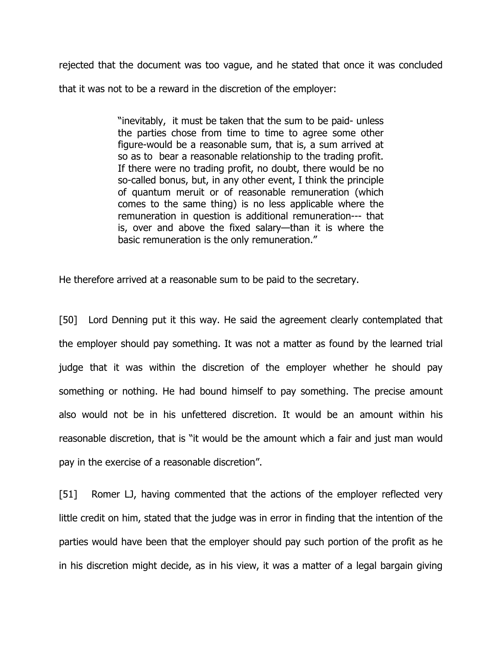rejected that the document was too vague, and he stated that once it was concluded that it was not to be a reward in the discretion of the employer:

> "inevitably, it must be taken that the sum to be paid- unless the parties chose from time to time to agree some other figure-would be a reasonable sum, that is, a sum arrived at so as to bear a reasonable relationship to the trading profit. If there were no trading profit, no doubt, there would be no so-called bonus, but, in any other event, I think the principle of quantum meruit or of reasonable remuneration (which comes to the same thing) is no less applicable where the remuneration in question is additional remuneration--- that is, over and above the fixed salary—than it is where the basic remuneration is the only remuneration."

He therefore arrived at a reasonable sum to be paid to the secretary.

[50] Lord Denning put it this way. He said the agreement clearly contemplated that the employer should pay something. It was not a matter as found by the learned trial judge that it was within the discretion of the employer whether he should pay something or nothing. He had bound himself to pay something. The precise amount also would not be in his unfettered discretion. It would be an amount within his reasonable discretion, that is "it would be the amount which a fair and just man would pay in the exercise of a reasonable discretion".

[51] Romer LJ, having commented that the actions of the employer reflected very little credit on him, stated that the judge was in error in finding that the intention of the parties would have been that the employer should pay such portion of the profit as he in his discretion might decide, as in his view, it was a matter of a legal bargain giving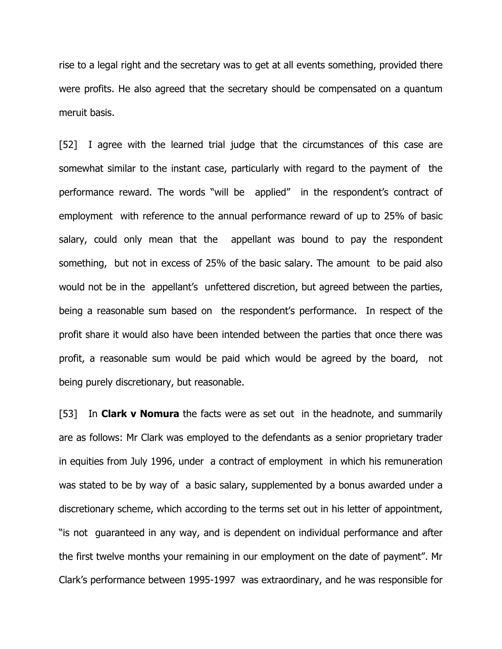rise to a legal right and the secretary was to get at all events something, provided there were profits. He also agreed that the secretary should be compensated on a quantum meruit basis.

[52] I agree with the learned trial judge that the circumstances of this case are somewhat similar to the instant case, particularly with regard to the payment of the performance reward. The words "will be applied" in the respondent's contract of employment with reference to the annual performance reward of up to 25% of basic salary, could only mean that the appellant was bound to pay the respondent something, but not in excess of 25% of the basic salary. The amount to be paid also would not be in the appellant's unfettered discretion, but agreed between the parties, being a reasonable sum based on the respondent's performance. In respect of the profit share it would also have been intended between the parties that once there was profit, a reasonable sum would be paid which would be agreed by the board, not being purely discretionary, but reasonable.

[53] In **Clark v Nomura** the facts were as set out in the headnote, and summarily are as follows: Mr Clark was employed to the defendants as a senior proprietary trader in equities from July 1996, under a contract of employment in which his remuneration was stated to be by way of a basic salary, supplemented by a bonus awarded under a discretionary scheme, which according to the terms set out in his letter of appointment, "is not guaranteed in any way, and is dependent on individual performance and after the first twelve months your remaining in our employment on the date of payment". Mr Clark's performance between 1995-1997 was extraordinary, and he was responsible for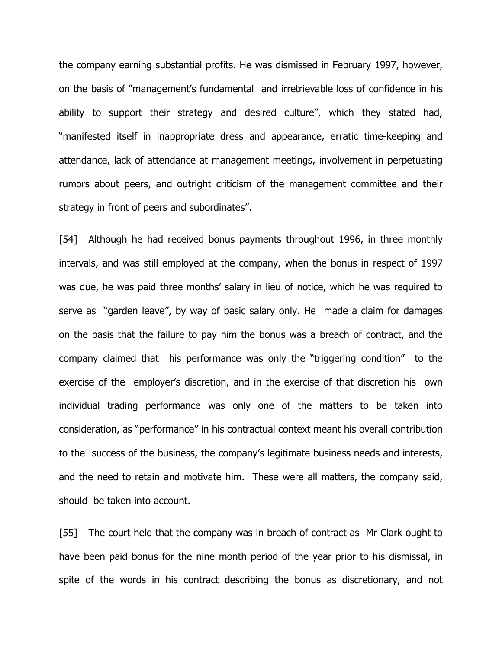the company earning substantial profits. He was dismissed in February 1997, however, on the basis of "management's fundamental and irretrievable loss of confidence in his ability to support their strategy and desired culture", which they stated had, "manifested itself in inappropriate dress and appearance, erratic time-keeping and attendance, lack of attendance at management meetings, involvement in perpetuating rumors about peers, and outright criticism of the management committee and their strategy in front of peers and subordinates".

[54] Although he had received bonus payments throughout 1996, in three monthly intervals, and was still employed at the company, when the bonus in respect of 1997 was due, he was paid three months' salary in lieu of notice, which he was required to serve as "garden leave", by way of basic salary only. He made a claim for damages on the basis that the failure to pay him the bonus was a breach of contract, and the company claimed that his performance was only the "triggering condition" to the exercise of the employer's discretion, and in the exercise of that discretion his own individual trading performance was only one of the matters to be taken into consideration, as "performance" in his contractual context meant his overall contribution to the success of the business, the company's legitimate business needs and interests, and the need to retain and motivate him. These were all matters, the company said, should be taken into account.

[55] The court held that the company was in breach of contract as Mr Clark ought to have been paid bonus for the nine month period of the year prior to his dismissal, in spite of the words in his contract describing the bonus as discretionary, and not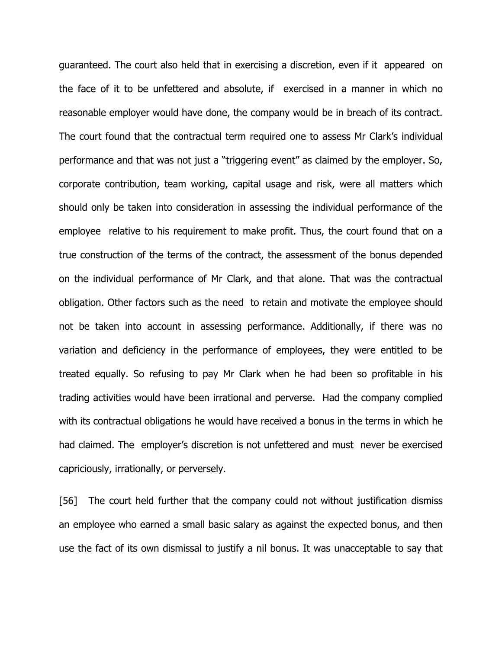guaranteed. The court also held that in exercising a discretion, even if it appeared on the face of it to be unfettered and absolute, if exercised in a manner in which no reasonable employer would have done, the company would be in breach of its contract. The court found that the contractual term required one to assess Mr Clark's individual performance and that was not just a "triggering event" as claimed by the employer. So, corporate contribution, team working, capital usage and risk, were all matters which should only be taken into consideration in assessing the individual performance of the employee relative to his requirement to make profit. Thus, the court found that on a true construction of the terms of the contract, the assessment of the bonus depended on the individual performance of Mr Clark, and that alone. That was the contractual obligation. Other factors such as the need to retain and motivate the employee should not be taken into account in assessing performance. Additionally, if there was no variation and deficiency in the performance of employees, they were entitled to be treated equally. So refusing to pay Mr Clark when he had been so profitable in his trading activities would have been irrational and perverse. Had the company complied with its contractual obligations he would have received a bonus in the terms in which he had claimed. The employer's discretion is not unfettered and must never be exercised capriciously, irrationally, or perversely.

[56] The court held further that the company could not without justification dismiss an employee who earned a small basic salary as against the expected bonus, and then use the fact of its own dismissal to justify a nil bonus. It was unacceptable to say that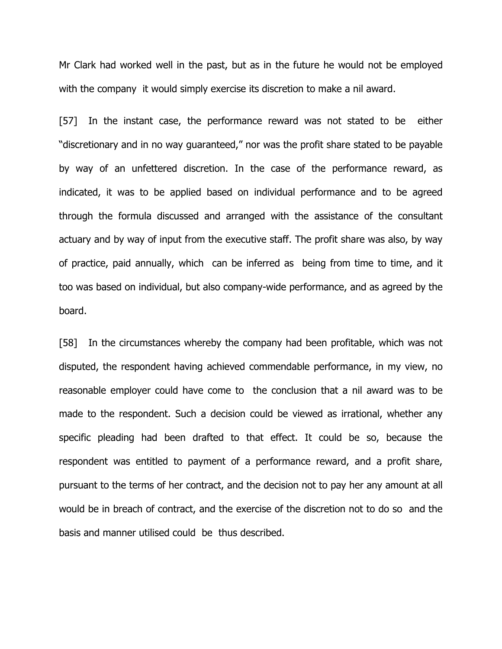Mr Clark had worked well in the past, but as in the future he would not be employed with the company it would simply exercise its discretion to make a nil award.

[57] In the instant case, the performance reward was not stated to be either "discretionary and in no way guaranteed," nor was the profit share stated to be payable by way of an unfettered discretion. In the case of the performance reward, as indicated, it was to be applied based on individual performance and to be agreed through the formula discussed and arranged with the assistance of the consultant actuary and by way of input from the executive staff. The profit share was also, by way of practice, paid annually, which can be inferred as being from time to time, and it too was based on individual, but also company-wide performance, and as agreed by the board.

[58] In the circumstances whereby the company had been profitable, which was not disputed, the respondent having achieved commendable performance, in my view, no reasonable employer could have come to the conclusion that a nil award was to be made to the respondent. Such a decision could be viewed as irrational, whether any specific pleading had been drafted to that effect. It could be so, because the respondent was entitled to payment of a performance reward, and a profit share, pursuant to the terms of her contract, and the decision not to pay her any amount at all would be in breach of contract, and the exercise of the discretion not to do so and the basis and manner utilised could be thus described.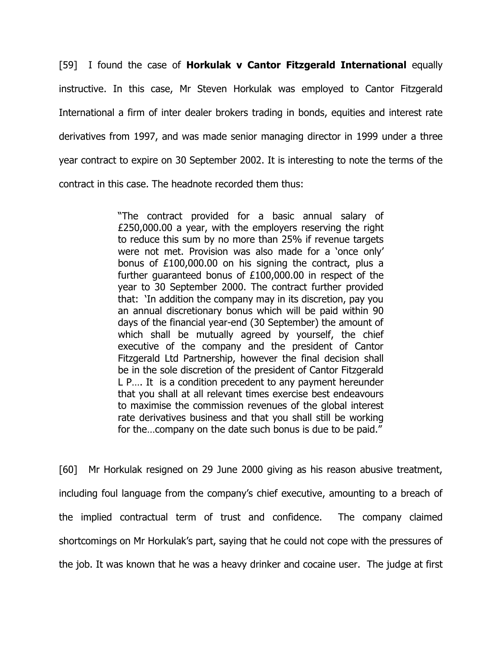[59] I found the case of **Horkulak v Cantor Fitzgerald International** equally instructive. In this case, Mr Steven Horkulak was employed to Cantor Fitzgerald International a firm of inter dealer brokers trading in bonds, equities and interest rate derivatives from 1997, and was made senior managing director in 1999 under a three year contract to expire on 30 September 2002. It is interesting to note the terms of the contract in this case. The headnote recorded them thus:

> "The contract provided for a basic annual salary of £250,000.00 a year, with the employers reserving the right to reduce this sum by no more than 25% if revenue targets were not met. Provision was also made for a 'once only' bonus of £100,000.00 on his signing the contract, plus a further guaranteed bonus of £100,000.00 in respect of the year to 30 September 2000. The contract further provided that: 'In addition the company may in its discretion, pay you an annual discretionary bonus which will be paid within 90 days of the financial year-end (30 September) the amount of which shall be mutually agreed by yourself, the chief executive of the company and the president of Cantor Fitzgerald Ltd Partnership, however the final decision shall be in the sole discretion of the president of Cantor Fitzgerald L P…. It is a condition precedent to any payment hereunder that you shall at all relevant times exercise best endeavours to maximise the commission revenues of the global interest rate derivatives business and that you shall still be working for the…company on the date such bonus is due to be paid."

[60] Mr Horkulak resigned on 29 June 2000 giving as his reason abusive treatment, including foul language from the company's chief executive, amounting to a breach of the implied contractual term of trust and confidence. The company claimed shortcomings on Mr Horkulak's part, saying that he could not cope with the pressures of the job. It was known that he was a heavy drinker and cocaine user. The judge at first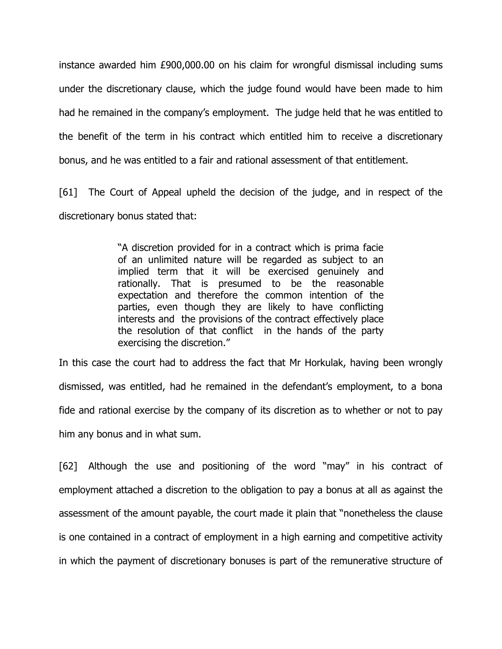instance awarded him £900,000.00 on his claim for wrongful dismissal including sums under the discretionary clause, which the judge found would have been made to him had he remained in the company's employment. The judge held that he was entitled to the benefit of the term in his contract which entitled him to receive a discretionary bonus, and he was entitled to a fair and rational assessment of that entitlement.

[61] The Court of Appeal upheld the decision of the judge, and in respect of the discretionary bonus stated that:

> "A discretion provided for in a contract which is prima facie of an unlimited nature will be regarded as subject to an implied term that it will be exercised genuinely and rationally. That is presumed to be the reasonable expectation and therefore the common intention of the parties, even though they are likely to have conflicting interests and the provisions of the contract effectively place the resolution of that conflict in the hands of the party exercising the discretion."

In this case the court had to address the fact that Mr Horkulak, having been wrongly dismissed, was entitled, had he remained in the defendant's employment, to a bona fide and rational exercise by the company of its discretion as to whether or not to pay him any bonus and in what sum.

[62] Although the use and positioning of the word "may" in his contract of employment attached a discretion to the obligation to pay a bonus at all as against the assessment of the amount payable, the court made it plain that "nonetheless the clause is one contained in a contract of employment in a high earning and competitive activity in which the payment of discretionary bonuses is part of the remunerative structure of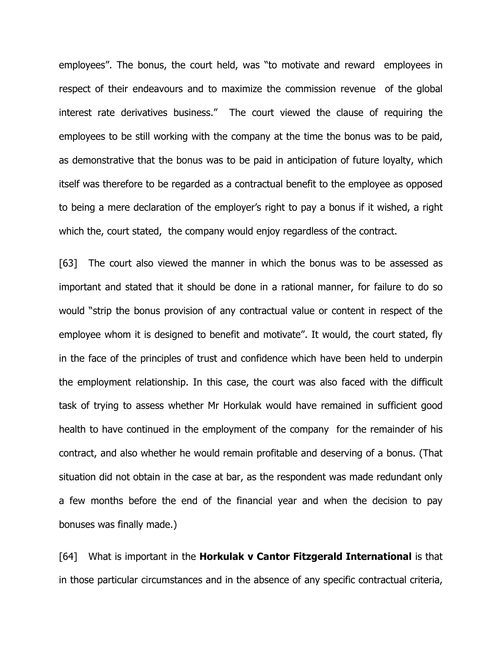employees". The bonus, the court held, was "to motivate and reward employees in respect of their endeavours and to maximize the commission revenue of the global interest rate derivatives business." The court viewed the clause of requiring the employees to be still working with the company at the time the bonus was to be paid, as demonstrative that the bonus was to be paid in anticipation of future loyalty, which itself was therefore to be regarded as a contractual benefit to the employee as opposed to being a mere declaration of the employer's right to pay a bonus if it wished, a right which the, court stated, the company would enjoy regardless of the contract.

[63] The court also viewed the manner in which the bonus was to be assessed as important and stated that it should be done in a rational manner, for failure to do so would "strip the bonus provision of any contractual value or content in respect of the employee whom it is designed to benefit and motivate". It would, the court stated, fly in the face of the principles of trust and confidence which have been held to underpin the employment relationship. In this case, the court was also faced with the difficult task of trying to assess whether Mr Horkulak would have remained in sufficient good health to have continued in the employment of the company for the remainder of his contract, and also whether he would remain profitable and deserving of a bonus. (That situation did not obtain in the case at bar, as the respondent was made redundant only a few months before the end of the financial year and when the decision to pay bonuses was finally made.)

[64] What is important in the **Horkulak v Cantor Fitzgerald International** is that in those particular circumstances and in the absence of any specific contractual criteria,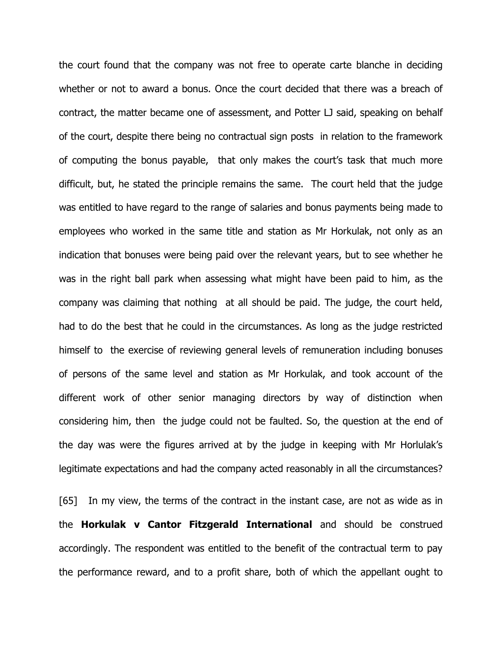the court found that the company was not free to operate carte blanche in deciding whether or not to award a bonus. Once the court decided that there was a breach of contract, the matter became one of assessment, and Potter LJ said, speaking on behalf of the court, despite there being no contractual sign posts in relation to the framework of computing the bonus payable, that only makes the court's task that much more difficult, but, he stated the principle remains the same. The court held that the judge was entitled to have regard to the range of salaries and bonus payments being made to employees who worked in the same title and station as Mr Horkulak, not only as an indication that bonuses were being paid over the relevant years, but to see whether he was in the right ball park when assessing what might have been paid to him, as the company was claiming that nothing at all should be paid. The judge, the court held, had to do the best that he could in the circumstances. As long as the judge restricted himself to the exercise of reviewing general levels of remuneration including bonuses of persons of the same level and station as Mr Horkulak, and took account of the different work of other senior managing directors by way of distinction when considering him, then the judge could not be faulted. So, the question at the end of the day was were the figures arrived at by the judge in keeping with Mr Horlulak's legitimate expectations and had the company acted reasonably in all the circumstances?

[65] In my view, the terms of the contract in the instant case, are not as wide as in the **Horkulak v Cantor Fitzgerald International** and should be construed accordingly. The respondent was entitled to the benefit of the contractual term to pay the performance reward, and to a profit share, both of which the appellant ought to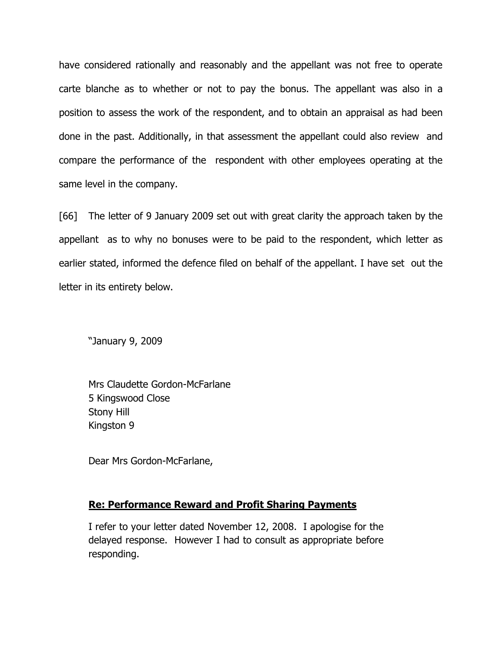have considered rationally and reasonably and the appellant was not free to operate carte blanche as to whether or not to pay the bonus. The appellant was also in a position to assess the work of the respondent, and to obtain an appraisal as had been done in the past. Additionally, in that assessment the appellant could also review and compare the performance of the respondent with other employees operating at the same level in the company.

[66] The letter of 9 January 2009 set out with great clarity the approach taken by the appellant as to why no bonuses were to be paid to the respondent, which letter as earlier stated, informed the defence filed on behalf of the appellant. I have set out the letter in its entirety below.

"January 9, 2009

Mrs Claudette Gordon-McFarlane 5 Kingswood Close Stony Hill Kingston 9

Dear Mrs Gordon-McFarlane,

### **Re: Performance Reward and Profit Sharing Payments**

I refer to your letter dated November 12, 2008. I apologise for the delayed response. However I had to consult as appropriate before responding.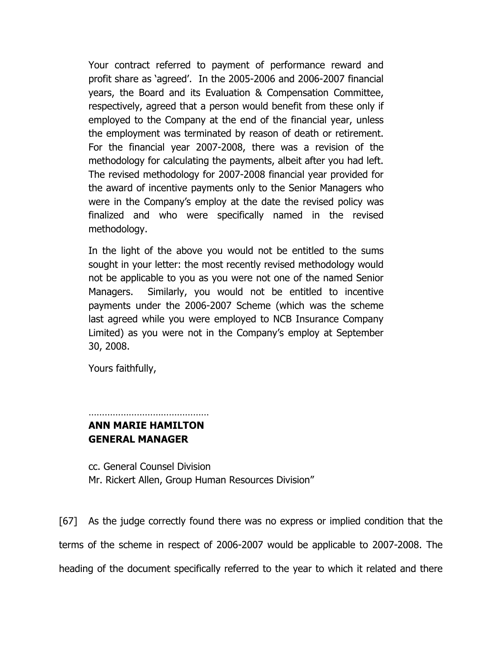Your contract referred to payment of performance reward and profit share as 'agreed'. In the 2005-2006 and 2006-2007 financial years, the Board and its Evaluation & Compensation Committee, respectively, agreed that a person would benefit from these only if employed to the Company at the end of the financial year, unless the employment was terminated by reason of death or retirement. For the financial year 2007-2008, there was a revision of the methodology for calculating the payments, albeit after you had left. The revised methodology for 2007-2008 financial year provided for the award of incentive payments only to the Senior Managers who were in the Company's employ at the date the revised policy was finalized and who were specifically named in the revised methodology.

In the light of the above you would not be entitled to the sums sought in your letter: the most recently revised methodology would not be applicable to you as you were not one of the named Senior Managers. Similarly, you would not be entitled to incentive payments under the 2006-2007 Scheme (which was the scheme last agreed while you were employed to NCB Insurance Company Limited) as you were not in the Company's employ at September 30, 2008.

Yours faithfully,

# **ANN MARIE HAMILTON GENERAL MANAGER**

………………………………………

cc. General Counsel Division Mr. Rickert Allen, Group Human Resources Division"

[67] As the judge correctly found there was no express or implied condition that the terms of the scheme in respect of 2006-2007 would be applicable to 2007-2008. The heading of the document specifically referred to the year to which it related and there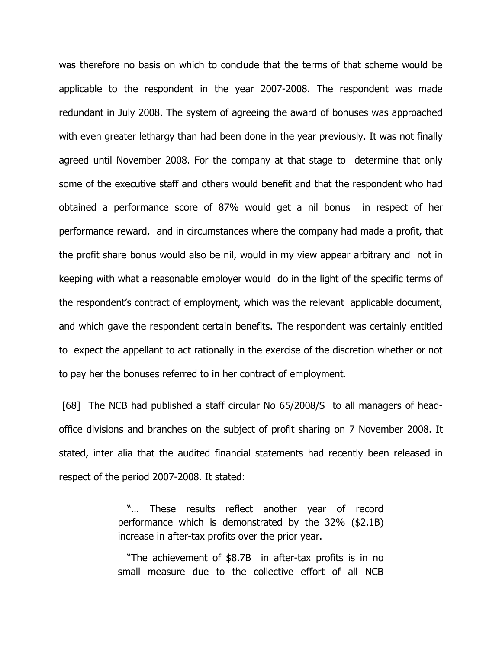was therefore no basis on which to conclude that the terms of that scheme would be applicable to the respondent in the year 2007-2008. The respondent was made redundant in July 2008. The system of agreeing the award of bonuses was approached with even greater lethargy than had been done in the year previously. It was not finally agreed until November 2008. For the company at that stage to determine that only some of the executive staff and others would benefit and that the respondent who had obtained a performance score of 87% would get a nil bonus in respect of her performance reward, and in circumstances where the company had made a profit, that the profit share bonus would also be nil, would in my view appear arbitrary and not in keeping with what a reasonable employer would do in the light of the specific terms of the respondent's contract of employment, which was the relevant applicable document, and which gave the respondent certain benefits. The respondent was certainly entitled to expect the appellant to act rationally in the exercise of the discretion whether or not to pay her the bonuses referred to in her contract of employment.

 [68] The NCB had published a staff circular No 65/2008/S to all managers of headoffice divisions and branches on the subject of profit sharing on 7 November 2008. It stated, inter alia that the audited financial statements had recently been released in respect of the period 2007-2008. It stated:

> "… These results reflect another year of record performance which is demonstrated by the 32% (\$2.1B) increase in after-tax profits over the prior year.

> "The achievement of \$8.7B in after-tax profits is in no small measure due to the collective effort of all NCB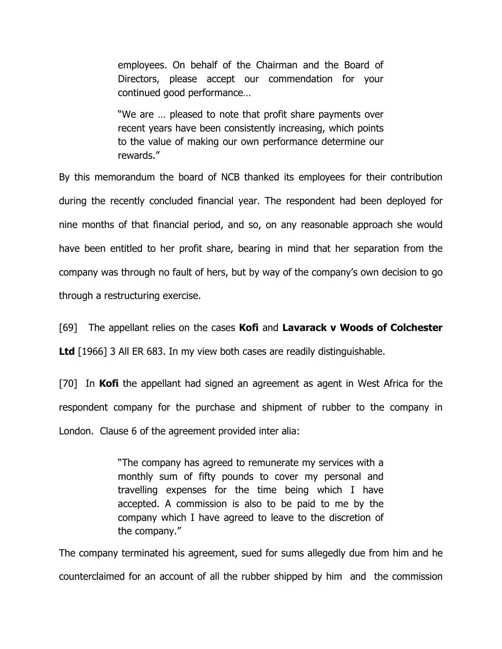employees. On behalf of the Chairman and the Board of Directors, please accept our commendation for your continued good performance…

"We are … pleased to note that profit share payments over recent years have been consistently increasing, which points to the value of making our own performance determine our rewards."

By this memorandum the board of NCB thanked its employees for their contribution during the recently concluded financial year. The respondent had been deployed for nine months of that financial period, and so, on any reasonable approach she would have been entitled to her profit share, bearing in mind that her separation from the company was through no fault of hers, but by way of the company's own decision to go through a restructuring exercise.

[69] The appellant relies on the cases **Kofi** and **Lavarack v Woods of Colchester** 

Ltd [1966] 3 All ER 683. In my view both cases are readily distinguishable.

[70] In **Kofi** the appellant had signed an agreement as agent in West Africa for the respondent company for the purchase and shipment of rubber to the company in London. Clause 6 of the agreement provided inter alia:

> "The company has agreed to remunerate my services with a monthly sum of fifty pounds to cover my personal and travelling expenses for the time being which I have accepted. A commission is also to be paid to me by the company which I have agreed to leave to the discretion of the company."

The company terminated his agreement, sued for sums allegedly due from him and he counterclaimed for an account of all the rubber shipped by him and the commission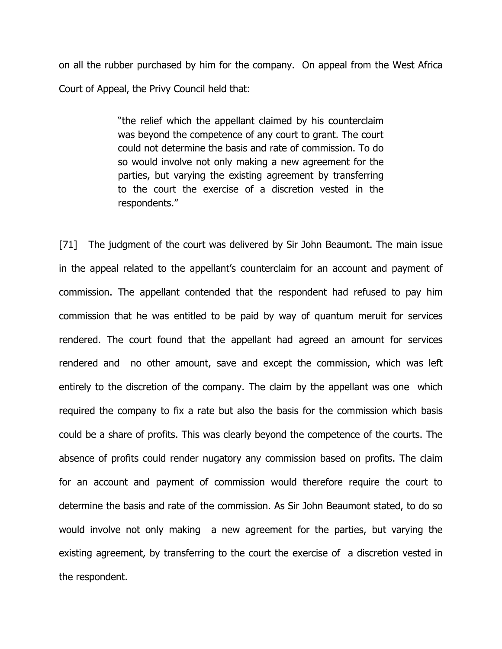on all the rubber purchased by him for the company. On appeal from the West Africa Court of Appeal, the Privy Council held that:

> "the relief which the appellant claimed by his counterclaim was beyond the competence of any court to grant. The court could not determine the basis and rate of commission. To do so would involve not only making a new agreement for the parties, but varying the existing agreement by transferring to the court the exercise of a discretion vested in the respondents."

[71] The judgment of the court was delivered by Sir John Beaumont. The main issue in the appeal related to the appellant's counterclaim for an account and payment of commission. The appellant contended that the respondent had refused to pay him commission that he was entitled to be paid by way of quantum meruit for services rendered. The court found that the appellant had agreed an amount for services rendered and no other amount, save and except the commission, which was left entirely to the discretion of the company. The claim by the appellant was one which required the company to fix a rate but also the basis for the commission which basis could be a share of profits. This was clearly beyond the competence of the courts. The absence of profits could render nugatory any commission based on profits. The claim for an account and payment of commission would therefore require the court to determine the basis and rate of the commission. As Sir John Beaumont stated, to do so would involve not only making a new agreement for the parties, but varying the existing agreement, by transferring to the court the exercise of a discretion vested in the respondent.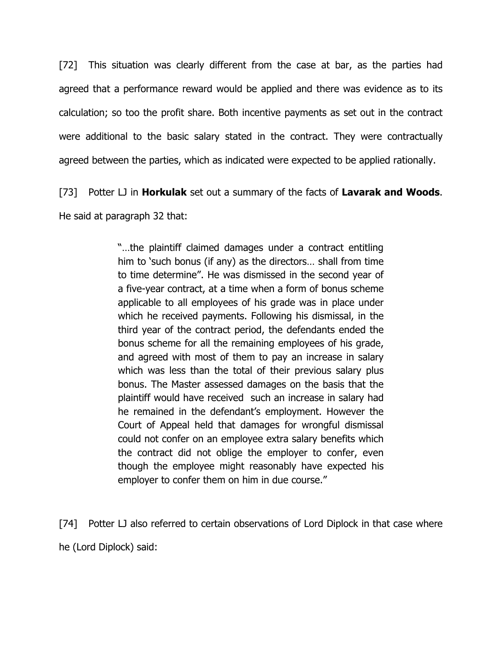[72] This situation was clearly different from the case at bar, as the parties had agreed that a performance reward would be applied and there was evidence as to its calculation; so too the profit share. Both incentive payments as set out in the contract were additional to the basic salary stated in the contract. They were contractually agreed between the parties, which as indicated were expected to be applied rationally.

[73] Potter LJ in **Horkulak** set out a summary of the facts of **Lavarak and Woods**. He said at paragraph 32 that:

> "…the plaintiff claimed damages under a contract entitling him to 'such bonus (if any) as the directors… shall from time to time determine". He was dismissed in the second year of a five-year contract, at a time when a form of bonus scheme applicable to all employees of his grade was in place under which he received payments. Following his dismissal, in the third year of the contract period, the defendants ended the bonus scheme for all the remaining employees of his grade, and agreed with most of them to pay an increase in salary which was less than the total of their previous salary plus bonus. The Master assessed damages on the basis that the plaintiff would have received such an increase in salary had he remained in the defendant's employment. However the Court of Appeal held that damages for wrongful dismissal could not confer on an employee extra salary benefits which the contract did not oblige the employer to confer, even though the employee might reasonably have expected his employer to confer them on him in due course."

[74] Potter LJ also referred to certain observations of Lord Diplock in that case where he (Lord Diplock) said: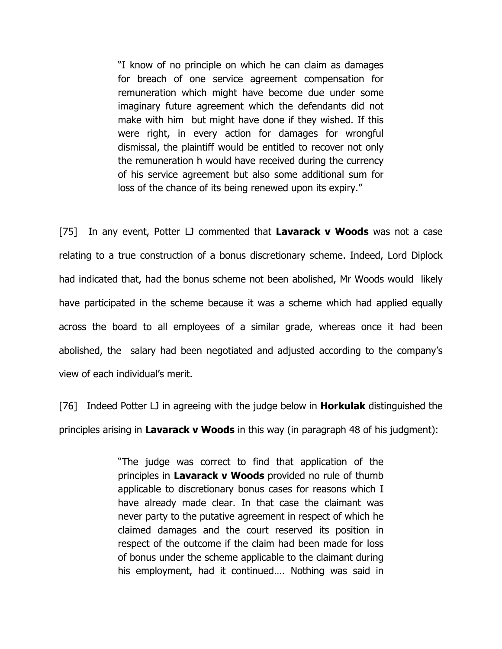"I know of no principle on which he can claim as damages for breach of one service agreement compensation for remuneration which might have become due under some imaginary future agreement which the defendants did not make with him but might have done if they wished. If this were right, in every action for damages for wrongful dismissal, the plaintiff would be entitled to recover not only the remuneration h would have received during the currency of his service agreement but also some additional sum for loss of the chance of its being renewed upon its expiry."

[75] In any event, Potter LJ commented that **Lavarack v Woods** was not a case relating to a true construction of a bonus discretionary scheme. Indeed, Lord Diplock had indicated that, had the bonus scheme not been abolished, Mr Woods would likely have participated in the scheme because it was a scheme which had applied equally across the board to all employees of a similar grade, whereas once it had been abolished, the salary had been negotiated and adjusted according to the company's view of each individual's merit.

[76] Indeed Potter LJ in agreeing with the judge below in **Horkulak** distinguished the principles arising in **Lavarack v Woods** in this way (in paragraph 48 of his judgment):

> "The judge was correct to find that application of the principles in **Lavarack v Woods** provided no rule of thumb applicable to discretionary bonus cases for reasons which I have already made clear. In that case the claimant was never party to the putative agreement in respect of which he claimed damages and the court reserved its position in respect of the outcome if the claim had been made for loss of bonus under the scheme applicable to the claimant during his employment, had it continued…. Nothing was said in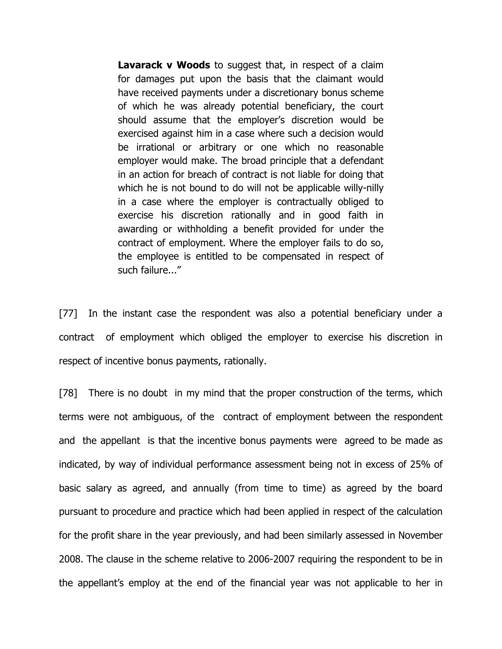**Lavarack v Woods** to suggest that, in respect of a claim for damages put upon the basis that the claimant would have received payments under a discretionary bonus scheme of which he was already potential beneficiary, the court should assume that the employer's discretion would be exercised against him in a case where such a decision would be irrational or arbitrary or one which no reasonable employer would make. The broad principle that a defendant in an action for breach of contract is not liable for doing that which he is not bound to do will not be applicable willy-nilly in a case where the employer is contractually obliged to exercise his discretion rationally and in good faith in awarding or withholding a benefit provided for under the contract of employment. Where the employer fails to do so, the employee is entitled to be compensated in respect of such failure..."

[77] In the instant case the respondent was also a potential beneficiary under a contract of employment which obliged the employer to exercise his discretion in respect of incentive bonus payments, rationally.

[78] There is no doubt in my mind that the proper construction of the terms, which terms were not ambiguous, of the contract of employment between the respondent and the appellant is that the incentive bonus payments were agreed to be made as indicated, by way of individual performance assessment being not in excess of 25% of basic salary as agreed, and annually (from time to time) as agreed by the board pursuant to procedure and practice which had been applied in respect of the calculation for the profit share in the year previously, and had been similarly assessed in November 2008. The clause in the scheme relative to 2006-2007 requiring the respondent to be in the appellant's employ at the end of the financial year was not applicable to her in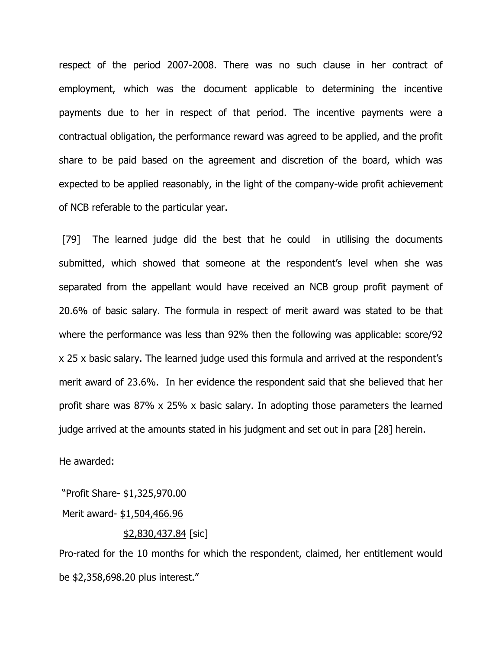respect of the period 2007-2008. There was no such clause in her contract of employment, which was the document applicable to determining the incentive payments due to her in respect of that period. The incentive payments were a contractual obligation, the performance reward was agreed to be applied, and the profit share to be paid based on the agreement and discretion of the board, which was expected to be applied reasonably, in the light of the company-wide profit achievement of NCB referable to the particular year.

 [79] The learned judge did the best that he could in utilising the documents submitted, which showed that someone at the respondent's level when she was separated from the appellant would have received an NCB group profit payment of 20.6% of basic salary. The formula in respect of merit award was stated to be that where the performance was less than 92% then the following was applicable: score/92 x 25 x basic salary. The learned judge used this formula and arrived at the respondent's merit award of 23.6%. In her evidence the respondent said that she believed that her profit share was 87% x 25% x basic salary. In adopting those parameters the learned judge arrived at the amounts stated in his judgment and set out in para [28] herein.

He awarded:

"Profit Share- \$1,325,970.00

Merit award- \$1,504,466.96

#### $$2,830,437.84$  [sic]

Pro-rated for the 10 months for which the respondent, claimed, her entitlement would be \$2,358,698.20 plus interest."